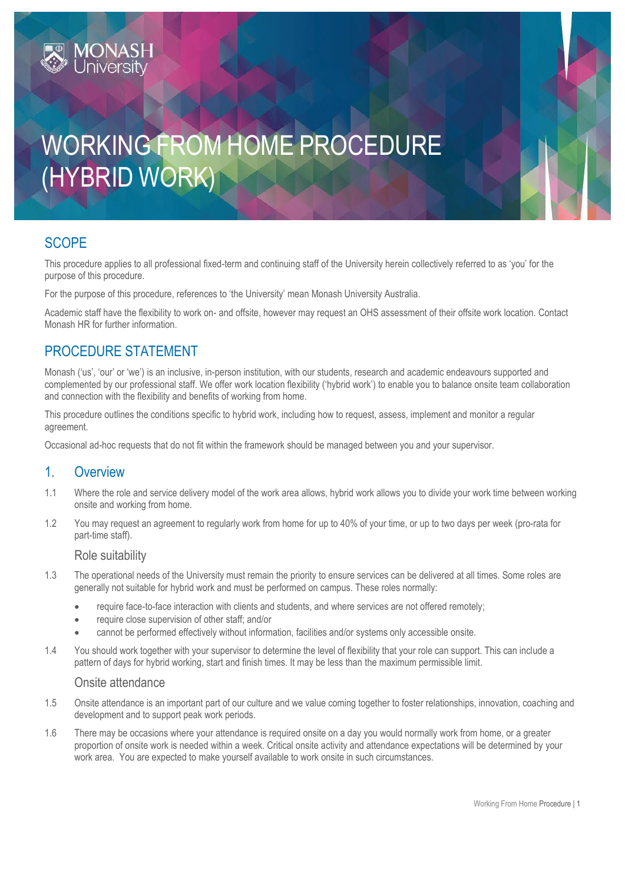# WORKING FROM HOME PROCEDURE (HYBRID WORK)

# **SCOPE**

This procedure applies to all professional fixed-term and continuing staff of the University herein collectively referred to as 'you' for the purpose of this procedure.

For the purpose of this procedure, references to 'the University' mean Monash University Australia.

Academic staff have the flexibility to work on- and offsite, however may request an OHS assessment of their offsite work location. Contact Monash HR for further information.

# PROCEDURE STATEMENT

**IONAS** 

Monash ('us', 'our' or 'we') is an inclusive, in-person institution, with our students, research and academic endeavours supported and complemented by our professional staff. We offer work location flexibility ('hybrid work') to enable you to balance onsite team collaboration and connection with the flexibility and benefits of working from home.

This procedure outlines the conditions specific to hybrid work, including how to request, assess, implement and monitor a regular agreement.

Occasional ad-hoc requests that do not fit within the framework should be managed between you and your supervisor.

# 1. Overview

- 1.1 Where the role and service delivery model of the work area allows, hybrid work allows you to divide your work time between working onsite and working from home.
- 1.2 You may request an agreement to regularly work from home for up to 40% of your time, or up to two days per week (pro-rata for part-time staff).

### Role suitability

- 1.3 The operational needs of the University must remain the priority to ensure services can be delivered at all times. Some roles are generally not suitable for hybrid work and must be performed on campus. These roles normally:
	- require face-to-face interaction with clients and students, and where services are not offered remotely;
	- require close supervision of other staff; and/or
	- cannot be performed effectively without information, facilities and/or systems only accessible onsite.
- 1.4 You should work together with your supervisor to determine the level of flexibility that your role can support. This can include a pattern of days for hybrid working, start and finish times. It may be less than the maximum permissible limit.

## Onsite attendance

- 1.5 Onsite attendance is an important part of our culture and we value coming together to foster relationships, innovation, coaching and development and to support peak work periods.
- 1.6 There may be occasions where your attendance is required onsite on a day you would normally work from home, or a greater proportion of onsite work is needed within a week. Critical onsite activity and attendance expectations will be determined by your work area. You are expected to make yourself available to work onsite in such circumstances.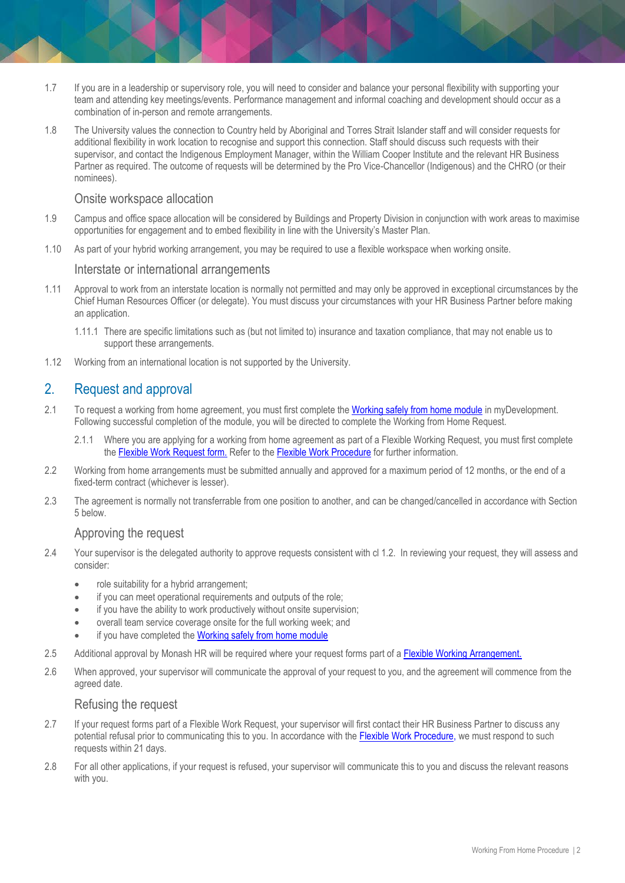- 1.7 If you are in a leadership or supervisory role, you will need to consider and balance your personal flexibility with supporting your team and attending key meetings/events. Performance management and informal coaching and development should occur as a combination of in-person and remote arrangements.
- 1.8 The University values the connection to Country held by Aboriginal and Torres Strait Islander staff and will consider requests for additional flexibility in work location to recognise and support this connection. Staff should discuss such requests with their supervisor, and contact the Indigenous Employment Manager, within the William Cooper Institute and the relevant HR Business Partner as required. The outcome of requests will be determined by the Pro Vice-Chancellor (Indigenous) and the CHRO (or their nominees).

## Onsite workspace allocation

- 1.9 Campus and office space allocation will be considered by Buildings and Property Division in conjunction with work areas to maximise opportunities for engagement and to embed flexibility in line with the [University's M](https://www.monash.edu/about/strategic-direction/strategic-plan/masterplan)[aster Plan.](https://www.monash.edu/about/strategic-direction/strategic-plan/masterplan)
- 1.10 As part of your hybrid working arrangement, you may be required to use a flexible workspace when working onsite.

## Interstate or international arrangements

- 1.11 Approval to work from an interstate location is normally not permitted and may only be approved in exceptional circumstances by the Chief Human Resources Officer (or delegate). You must discuss your circumstances with your HR Business Partner before making an application.
	- 1.11.1 There are specific limitations such as (but not limited to) insurance and taxation compliance, that may not enable us to support these arrangements.
- 1.12 Working from an international location is not supported by the University.

# 2. Request and approval

- 2.1 To request a working from home agreement, you must first complete the [Working safely from home module](https://monash.csod.com/samldefault.aspx?ReturnUrl=%252fDeepLink%252fProcessRedirect.aspx%253fmodule%253dlodetails%2526lo%253dc8dbddad-b110-44ef-abac-22c29296f8af) in myDevelopment. Following successful completion of the module, you will be directed to complete the Working from Home Request.
	- 2.1.1 Where you are applying for a working from home agreement as part of a Flexible Working Request, you must first complete the [Flexible Work Request form.](http://www.intranet.monash/hr/assets/docs/tools-and-resources/forms/word/Flexible-work-request.docx) [R](http://www.intranet.monash/hr/assets/docs/tools-and-resources/forms/word/Flexible-work-request.docx)efer to the [Flexible Work Procedure](https://publicpolicydms.monash.edu/Monash/documents/1935686) for further information.
- 2.2 Working from home arrangements must be submitted annually and approved for a maximum period of 12 months, or the end of a fixed-term contract (whichever is lesser).
- 2.3 The agreement is normally not transferrable from one position to another, and can be changed/cancelled in accordance with Section 5 below.

## Approving the request

- 2.4 Your supervisor is the delegated authority to approve requests consistent with cl 1.2. In reviewing your request, they will assess and consider:
	- role suitability for a hybrid arrangement;
	- if you can meet operational requirements and outputs of the role;
	- if you have the ability to work productively without onsite supervision;
	- overall team service coverage onsite for the full working week; and
	- if you have completed the [Working safely from home module](https://monash.csod.com/samldefault.aspx?ReturnUrl=%252fDeepLink%252fProcessRedirect.aspx%253fmodule%253dlodetails%2526lo%253dc8dbddad-b110-44ef-abac-22c29296f8af)
- 2.5 Additional approval by Monash HR will be required where your request forms part of [a Flexible Working Arrangement.](http://www.intranet.monash/hr/assets/docs/tools-and-resources/forms/word/Flexible-work-request.docx)
- 2.6 When approved, your supervisor will communicate the approval of your request to you, and the agreement will commence from the agreed date.

### Refusing the request

- 2.7 If your request forms part of a Flexible Work Request, your supervisor will first contact their HR Business Partner to discuss any potential refusal prior to communicating this to you. In accordance with th[e Flexible Work Procedure,](https://publicpolicydms.monash.edu/Monash/documents/1935686) we must respond to such requests within 21 days.
- 2.8 For all other applications, if your request is refused, your supervisor will communicate this to you and discuss the relevant reasons with you.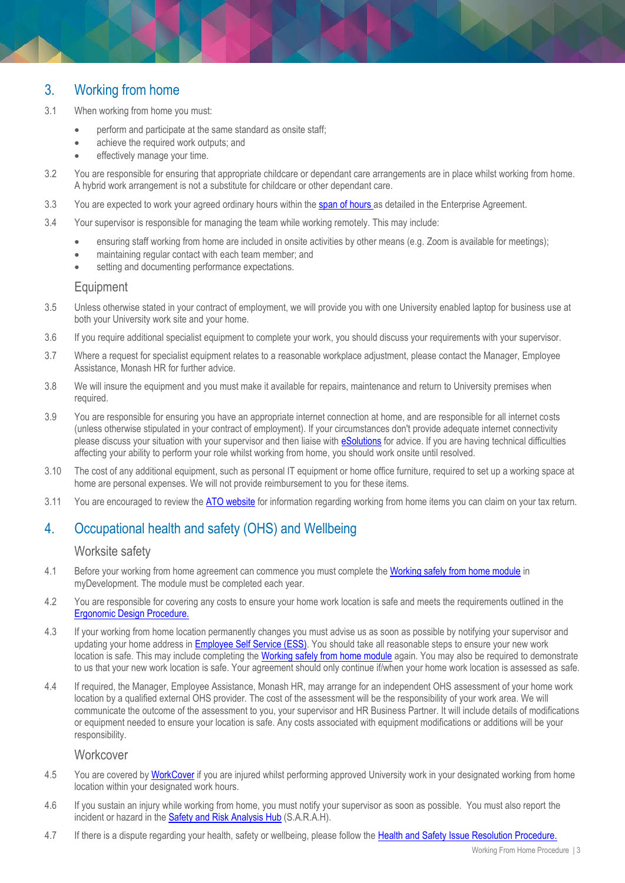# 3. Working from home

- 3.1 When working from home you must:
	- **•** perform and participate at the same standard as onsite staff;
	- achieve the required work outputs; and
	- effectively manage your time.
- 3.2 You are responsible for ensuring that appropriate childcare or dependant care arrangements are in place whilst working from home. A hybrid work arrangement is not a substitute for childcare or other dependant care.
- 3.3 You are expected to work your agreed ordinary hours within the [span of hours a](https://www.monash.edu/current-enterprise-agreements/academic-professional-2019#77)s detailed in the Enterprise Agreement.
- 3.4 Your supervisor is responsible for managing the team while working remotely. This may include:
	- ensuring staff working from home are included in onsite activities by other means (e.g. Zoom is available for meetings);
	- maintaining regular contact with each team member; and
	- setting and documenting performance expectations.

## **Equipment**

- 3.5 Unless otherwise stated in your contract of employment, we will provide you with one University enabled laptop for business use at both your University work site and your home.
- 3.6 If you require additional specialist equipment to complete your work, you should discuss your requirements with your supervisor.
- 3.7 Where a request for specialist equipment relates to a reasonable workplace adjustment, please contact the Manager, Employee Assistance, Monash HR for further advice.
- 3.8 We will insure the equipment and you must make it available for repairs, maintenance and return to University premises when required.
- 3.9 You are responsible for ensuring you have an appropriate internet connection at home, and are responsible for all internet costs (unless otherwise stipulated in your contract of employment). If your circumstances don't provide adequate internet connectivity please discuss your situation with your supervisor and then liaise with [eSolutions](https://www.monash.edu/esolutions/home) for advice. If you are having technical difficulties affecting your ability to perform your role whilst working from home, you should work onsite until resolved.
- 3.10 The cost of any additional equipment, such as personal IT equipment or home office furniture, required to set up a working space at home are personal expenses. We will not provide reimbursement to you for these items.
- 3.11 You are encouraged to review the [ATO website](https://www.ato.gov.au/individuals/income-and-deductions/deductions-you-can-claim/home-office-expenses/) for information regarding working from home items you can claim on your tax return.

# 4. Occupational health and safety (OHS) and Wellbeing

## Worksite safety

- 4.1 Before your working from home agreement can commence you must complete the [Working safely from home module](https://monash.csod.com/samldefault.aspx?ReturnUrl=%252fDeepLink%252fProcessRedirect.aspx%253fmodule%253dlodetails%2526lo%253dc8dbddad-b110-44ef-abac-22c29296f8af) in myDevelopment. The module must be completed each year.
- 4.2 You are responsible for covering any costs to ensure your home work location is safe and meets the requirements outlined in the [Ergonomic Design Procedure.](https://publicpolicydms.monash.edu/Monash/documents/1935611)
- 4.3 If your working from home location permanently changes you must advise us as soon as possible by notifying your supervisor and updating your home address in [Employee Self Service \(ESS\).](https://eservices.monash.edu.au/irj/portal) You should take all reasonable steps to ensure your new work location is safe. This may include completing the [Working safely from home module](https://monash.csod.com/samldefault.aspx?ReturnUrl=%252fDeepLink%252fProcessRedirect.aspx%253fmodule%253dlodetails%2526lo%253dc8dbddad-b110-44ef-abac-22c29296f8af) again. You may also be required to demonstrate to us that your new work location is safe. Your agreement should only continue if/when your home work location is assessed as safe.
- 4.4 If required, the Manager, Employee Assistance, Monash HR, may arrange for an independent OHS assessment of your home work location by a qualified external OHS provider. The cost of the assessment will be the responsibility of your work area. We will communicate the outcome of the assessment to you, your supervisor and HR Business Partner. It will include details of modifications or equipment needed to ensure your location is safe. Any costs associated with equipment modifications or additions will be your responsibility.

## **Workcover**

- 4.5 You are covered by [WorkCover](https://www.monash.edu/__data/assets/pdf_file/0008/797489/WorkCover.pdf) if you are injured whilst performing approved University work in your designated working from home location within your designated work hours.
- 4.6 If you sustain an injury while working from home, you must notify your supervisor as soon as possible. You must also report the incident or hazard in th[e Safety and Risk](https://riskcloud.net/prod/?ccode=monash#skiplink) Analysis Hub (S.A.R.A.H).
- 4.7 If there is a dispute regarding your health, safety or wellbeing, please follow the [Health and Safety Issue Resolution Procedure.](https://publicpolicydms.monash.edu/Monash/documents/1935619)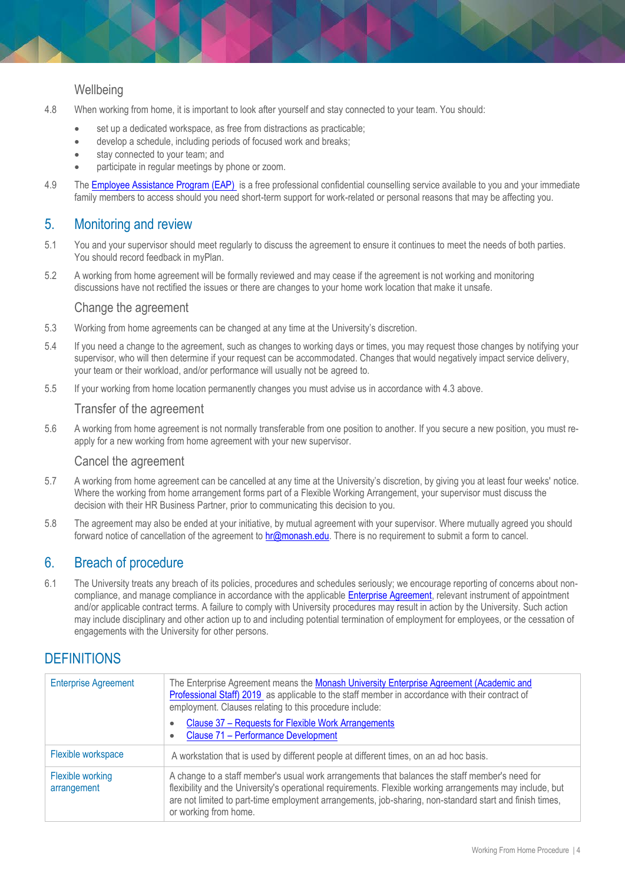## **Wellbeing**

- 4.8 When working from home, it is important to look after yourself and stay connected to your team. You should:
	- set up a dedicated workspace, as free from distractions as practicable;
	- develop a schedule, including periods of focused work and breaks;
	- stay connected to your team; and
	- participate in regular meetings by phone or zoom.
- 4.9 The [Employee Assistance Program \(EAP\)](https://www.monash.edu/__data/assets/pdf_file/0011/797456/Employee-assistance.pdf) is a free professional confidential counselling service available to you and your immediate family members to access should you need short-term support for work-related or personal reasons that may be affecting you.

# 5. Monitoring and review

- 5.1 You and your supervisor should meet regularly to discuss the agreement to ensure it continues to meet the needs of both parties. You should record feedback in myPlan.
- 5.2 A working from home agreement will be formally reviewed and may cease if the agreement is not working and monitoring discussions have not rectified the issues or there are changes to your home work location that make it unsafe.

#### Change the agreement

- 5.3 Working from home agreements can be changed at any time at the University's discretion.
- 5.4 If you need a change to the agreement, such as changes to working days or times, you may request those changes by notifying your supervisor, who will then determine if your request can be accommodated. Changes that would negatively impact service delivery, your team or their workload, and/or performance will usually not be agreed to.
- 5.5 If your working from home location permanently changes you must advise us in accordance with 4.3 above.

## Transfer of the agreement

5.6 A working from home agreement is not normally transferable from one position to another. If you secure a new position, you must reapply for a new working from home agreement with your new supervisor.

#### Cancel the agreement

- 5.7 A working from home agreement can be cancelled at any time at the University's discretion, by giving you at least four weeks' notice. Where the working from home arrangement forms part of a Flexible Working Arrangement, your supervisor must discuss the decision with their HR Business Partner, prior to communicating this decision to you.
- 5.8 The agreement may also be ended at your initiative, by mutual agreement with your supervisor. Where mutually agreed you should forward notice of cancellation of the agreement to [hr@monash.edu.](mailto:hr@monash.edu) There is no requirement to submit a form to cancel.

# 6. Breach of procedure

6.1 The University treats any breach of its policies, procedures and schedules seriously; we encourage reporting of concerns about noncompliance, and manage compliance in accordance with the applicabl[e Enterprise Agreement,](https://www.monash.edu/current-enterprise-agreements) relevant instrument of appointment and/or applicable contract terms. A failure to comply with University procedures may result in action by the University. Such action may include disciplinary and other action up to and including potential termination of employment for employees, or the cessation of engagements with the University for other persons.

# **DEFINITIONS**

| <b>Enterprise Agreement</b>            | The Enterprise Agreement means the Monash University Enterprise Agreement (Academic and<br>Professional Staff) 2019 as applicable to the staff member in accordance with their contract of<br>employment. Clauses relating to this procedure include:<br>Clause 37 - Requests for Flexible Work Arrangements<br>۰<br>Clause 71 - Performance Development<br>٠ |
|----------------------------------------|---------------------------------------------------------------------------------------------------------------------------------------------------------------------------------------------------------------------------------------------------------------------------------------------------------------------------------------------------------------|
| Flexible workspace                     | A workstation that is used by different people at different times, on an ad hoc basis.                                                                                                                                                                                                                                                                        |
| <b>Flexible working</b><br>arrangement | A change to a staff member's usual work arrangements that balances the staff member's need for<br>flexibility and the University's operational requirements. Flexible working arrangements may include, but<br>are not limited to part-time employment arrangements, job-sharing, non-standard start and finish times,<br>or working from home.               |